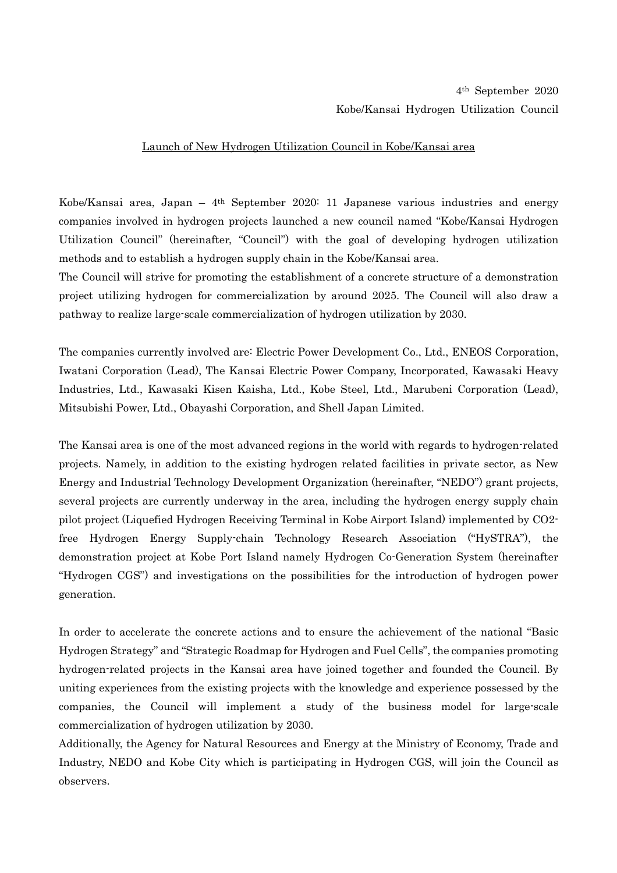## Launch of New Hydrogen Utilization Council in Kobe/Kansai area

Kobe/Kansai area, Japan – 4th September 2020: 11 Japanese various industries and energy companies involved in hydrogen projects launched a new council named "Kobe/Kansai Hydrogen Utilization Council" (hereinafter, "Council") with the goal of developing hydrogen utilization methods and to establish a hydrogen supply chain in the Kobe/Kansai area.

The Council will strive for promoting the establishment of a concrete structure of a demonstration project utilizing hydrogen for commercialization by around 2025. The Council will also draw a pathway to realize large-scale commercialization of hydrogen utilization by 2030.

The companies currently involved are: Electric Power Development Co., Ltd., ENEOS Corporation, Iwatani Corporation (Lead), The Kansai Electric Power Company, Incorporated, Kawasaki Heavy Industries, Ltd., Kawasaki Kisen Kaisha, Ltd., Kobe Steel, Ltd., Marubeni Corporation (Lead), Mitsubishi Power, Ltd., Obayashi Corporation, and Shell Japan Limited.

The Kansai area is one of the most advanced regions in the world with regards to hydrogen-related projects. Namely, in addition to the existing hydrogen related facilities in private sector, as New Energy and Industrial Technology Development Organization (hereinafter, "NEDO") grant projects, several projects are currently underway in the area, including the hydrogen energy supply chain pilot project (Liquefied Hydrogen Receiving Terminal in Kobe Airport Island) implemented by CO2 free Hydrogen Energy Supply-chain Technology Research Association ("HySTRA"), the demonstration project at Kobe Port Island namely Hydrogen Co-Generation System (hereinafter "Hydrogen CGS") and investigations on the possibilities for the introduction of hydrogen power generation.

In order to accelerate the concrete actions and to ensure the achievement of the national "Basic Hydrogen Strategy" and "Strategic Roadmap for Hydrogen and Fuel Cells", the companies promoting hydrogen-related projects in the Kansai area have joined together and founded the Council. By uniting experiences from the existing projects with the knowledge and experience possessed by the companies, the Council will implement a study of the business model for large-scale commercialization of hydrogen utilization by 2030.

Additionally, the Agency for Natural Resources and Energy at the Ministry of Economy, Trade and Industry, NEDO and Kobe City which is participating in Hydrogen CGS, will join the Council as observers.